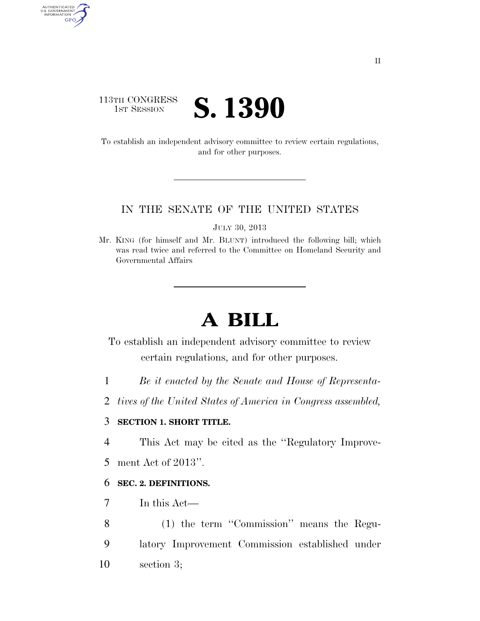# 113TH CONGRESS **1ST SESSION S. 1390**

AUTHENTICATED<br>U.S. GOVERNMENT<br>INFORMATION GPO

> To establish an independent advisory committee to review certain regulations, and for other purposes.

#### IN THE SENATE OF THE UNITED STATES

JULY 30, 2013

Mr. KING (for himself and Mr. BLUNT) introduced the following bill; which was read twice and referred to the Committee on Homeland Security and Governmental Affairs

# **A BILL**

To establish an independent advisory committee to review certain regulations, and for other purposes.

- 1 *Be it enacted by the Senate and House of Representa-*
- 2 *tives of the United States of America in Congress assembled,*

# 3 **SECTION 1. SHORT TITLE.**

4 This Act may be cited as the ''Regulatory Improve-

5 ment Act of 2013''.

# 6 **SEC. 2. DEFINITIONS.**

- 7 In this Act—
- 8 (1) the term ''Commission'' means the Regu-9 latory Improvement Commission established under 10 section 3;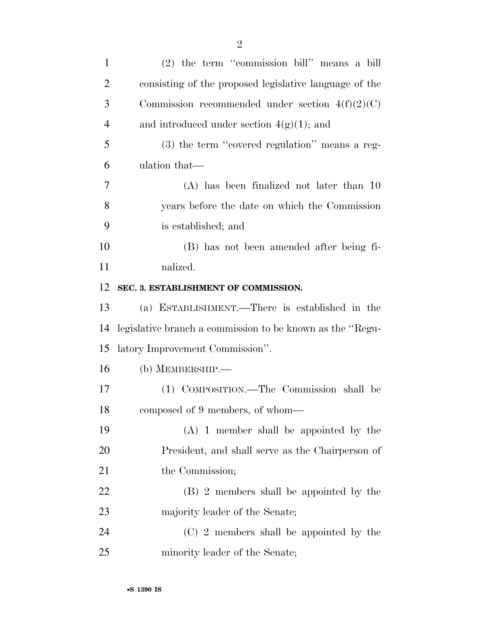| $\mathbf{1}$   | (2) the term "commission bill" means a bill               |
|----------------|-----------------------------------------------------------|
| $\overline{2}$ | consisting of the proposed legislative language of the    |
| 3              | Commission recommended under section $4(f)(2)(C)$         |
| $\overline{4}$ | and introduced under section $4(g)(1)$ ; and              |
| 5              | (3) the term "covered regulation" means a reg-            |
| 6              | ulation that—                                             |
| 7              | $(A)$ has been finalized not later than 10                |
| 8              | years before the date on which the Commission             |
| 9              | is established; and                                       |
| 10             | (B) has not been amended after being fi-                  |
| 11             | nalized.                                                  |
| 12             | SEC. 3. ESTABLISHMENT OF COMMISSION.                      |
| 13             | (a) ESTABLISHMENT.—There is established in the            |
| 14             | legislative branch a commission to be known as the "Regu- |
| 15             | latory Improvement Commission".                           |
| 16             | (b) MEMBERSHIP.—                                          |
| 17             | (1) COMPOSITION.—The Commission shall be                  |
| 18             | composed of 9 members, of whom—                           |
| 19             | $(A)$ 1 member shall be appointed by the                  |
| 20             | President, and shall serve as the Chairperson of          |
| 21             | the Commission;                                           |
| 22             | (B) 2 members shall be appointed by the                   |
| 23             | majority leader of the Senate;                            |
| 24             | (C) 2 members shall be appointed by the                   |
| 25             | minority leader of the Senate;                            |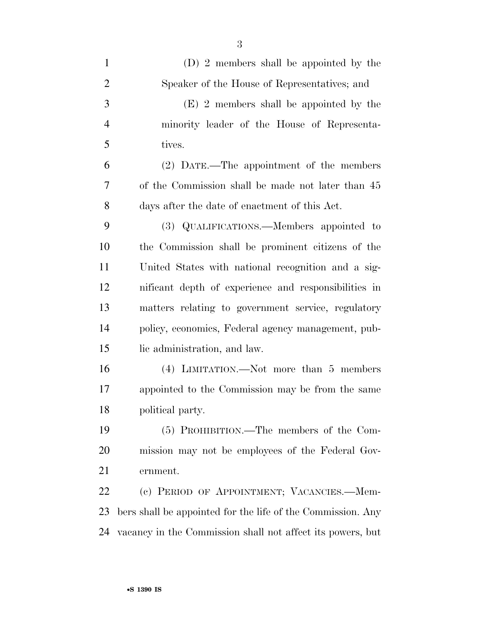| $\mathbf{1}$   | (D) 2 members shall be appointed by the                     |
|----------------|-------------------------------------------------------------|
| $\overline{2}$ | Speaker of the House of Representatives; and                |
| 3              | (E) 2 members shall be appointed by the                     |
| $\overline{4}$ | minority leader of the House of Representa-                 |
| 5              | tives.                                                      |
| 6              | (2) DATE.—The appointment of the members                    |
| 7              | of the Commission shall be made not later than 45           |
| 8              | days after the date of enactment of this Act.               |
| 9              | (3) QUALIFICATIONS.—Members appointed to                    |
| 10             | the Commission shall be prominent citizens of the           |
| 11             | United States with national recognition and a sig-          |
| 12             | nificant depth of experience and responsibilities in        |
| 13             | matters relating to government service, regulatory          |
| 14             | policy, economics, Federal agency management, pub-          |
| 15             | lic administration, and law.                                |
| 16             | (4) LIMITATION.—Not more than 5 members                     |
| 17             | appointed to the Commission may be from the same            |
| 18             | political party.                                            |
| 19             | (5) PROHIBITION.—The members of the Com-                    |
| 20             | mission may not be employees of the Federal Gov-            |
| 21             | ernment.                                                    |
| 22             | (c) PERIOD OF APPOINTMENT; VACANCIES.—Mem-                  |
| 23             | bers shall be appointed for the life of the Commission. Any |
| 24             | vacancy in the Commission shall not affect its powers, but  |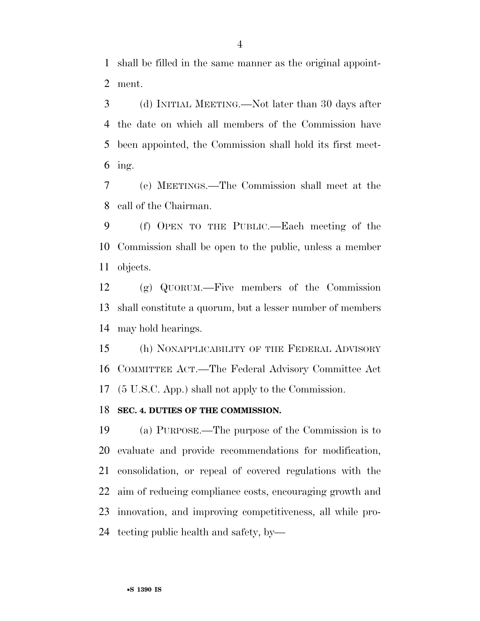shall be filled in the same manner as the original appoint-ment.

 (d) INITIAL MEETING.—Not later than 30 days after the date on which all members of the Commission have been appointed, the Commission shall hold its first meet-ing.

 (e) MEETINGS.—The Commission shall meet at the call of the Chairman.

 (f) OPEN TO THE PUBLIC.—Each meeting of the Commission shall be open to the public, unless a member objects.

 (g) QUORUM.—Five members of the Commission shall constitute a quorum, but a lesser number of members may hold hearings.

 (h) NONAPPLICABILITY OF THE FEDERAL ADVISORY COMMITTEE ACT.—The Federal Advisory Committee Act (5 U.S.C. App.) shall not apply to the Commission.

## **SEC. 4. DUTIES OF THE COMMISSION.**

 (a) PURPOSE.—The purpose of the Commission is to evaluate and provide recommendations for modification, consolidation, or repeal of covered regulations with the aim of reducing compliance costs, encouraging growth and innovation, and improving competitiveness, all while pro-tecting public health and safety, by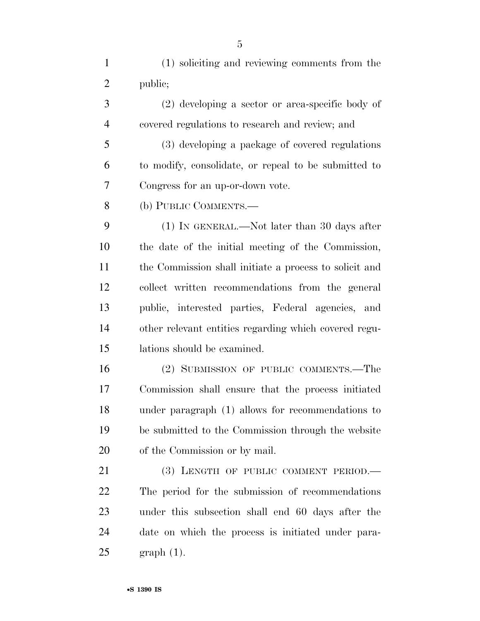(1) soliciting and reviewing comments from the public;

 (2) developing a sector or area-specific body of covered regulations to research and review; and

 (3) developing a package of covered regulations to modify, consolidate, or repeal to be submitted to Congress for an up-or-down vote.

(b) PUBLIC COMMENTS.—

 (1) IN GENERAL.—Not later than 30 days after the date of the initial meeting of the Commission, the Commission shall initiate a process to solicit and collect written recommendations from the general public, interested parties, Federal agencies, and other relevant entities regarding which covered regu-lations should be examined.

 (2) SUBMISSION OF PUBLIC COMMENTS.—The Commission shall ensure that the process initiated under paragraph (1) allows for recommendations to be submitted to the Commission through the website of the Commission or by mail.

21 (3) LENGTH OF PUBLIC COMMENT PERIOD. The period for the submission of recommendations under this subsection shall end 60 days after the date on which the process is initiated under para-graph (1).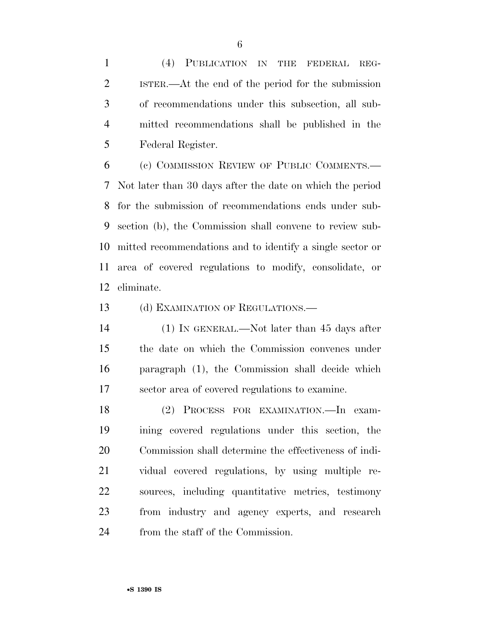(4) PUBLICATION IN THE FEDERAL REG- ISTER.—At the end of the period for the submission of recommendations under this subsection, all sub- mitted recommendations shall be published in the Federal Register.

 (c) COMMISSION REVIEW OF PUBLIC COMMENTS.— Not later than 30 days after the date on which the period for the submission of recommendations ends under sub- section (b), the Commission shall convene to review sub- mitted recommendations and to identify a single sector or area of covered regulations to modify, consolidate, or eliminate.

13 (d) EXAMINATION OF REGULATIONS.—

 (1) IN GENERAL.—Not later than 45 days after the date on which the Commission convenes under paragraph (1), the Commission shall decide which sector area of covered regulations to examine.

 (2) PROCESS FOR EXAMINATION.—In exam- ining covered regulations under this section, the Commission shall determine the effectiveness of indi- vidual covered regulations, by using multiple re- sources, including quantitative metrics, testimony from industry and agency experts, and research from the staff of the Commission.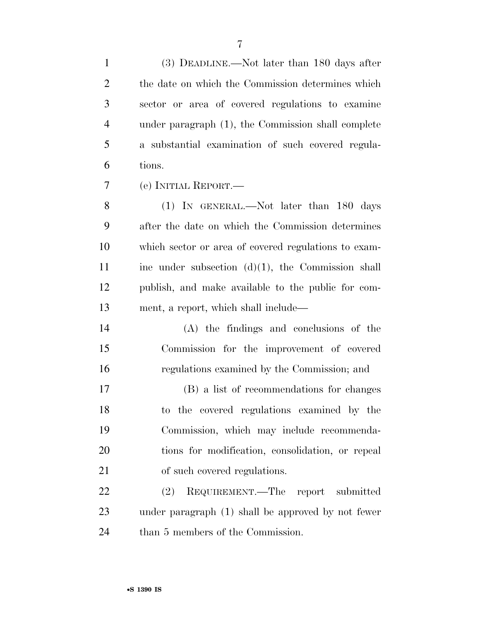| $\mathbf{1}$   | (3) DEADLINE.—Not later than 180 days after          |
|----------------|------------------------------------------------------|
| $\overline{2}$ | the date on which the Commission determines which    |
| 3              | sector or area of covered regulations to examine     |
| $\overline{4}$ | under paragraph (1), the Commission shall complete   |
| 5              | a substantial examination of such covered regula-    |
| 6              | tions.                                               |
| 7              | (e) INITIAL REPORT.—                                 |
| 8              | (1) IN GENERAL.—Not later than 180 days              |
| 9              | after the date on which the Commission determines    |
| 10             | which sector or area of covered regulations to exam- |
| 11             | ine under subsection $(d)(1)$ , the Commission shall |
| 12             | publish, and make available to the public for com-   |
| 13             | ment, a report, which shall include—                 |
| 14             | (A) the findings and conclusions of the              |
| 15             | Commission for the improvement of covered            |
| 16             | regulations examined by the Commission; and          |
| 17             | (B) a list of recommendations for changes            |
| 18             | to the covered regulations examined by the           |
| 19             | Commission, which may include recommenda-            |
| 20             | tions for modification, consolidation, or repeal     |
| 21             | of such covered regulations.                         |
| 22             | REQUIREMENT.—The report submitted<br>(2)             |
| 23             | under paragraph (1) shall be approved by not fewer   |
| 24             | than 5 members of the Commission.                    |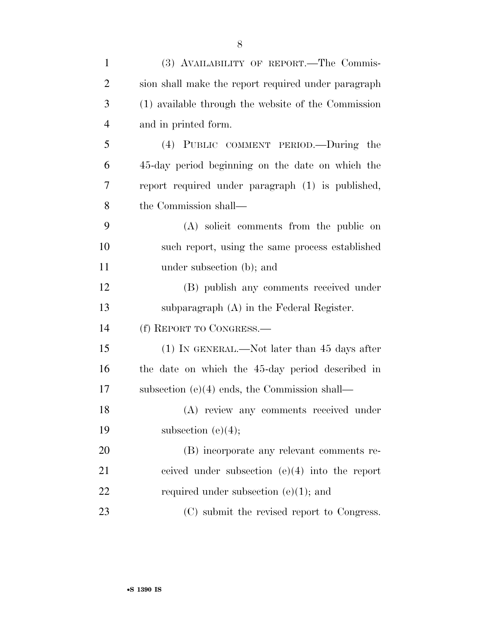| $\mathbf{1}$   | (3) AVAILABILITY OF REPORT.—The Commis-             |
|----------------|-----------------------------------------------------|
| $\overline{2}$ | sion shall make the report required under paragraph |
| 3              | (1) available through the website of the Commission |
| $\overline{4}$ | and in printed form.                                |
| 5              | (4) PUBLIC COMMENT PERIOD.—During the               |
| 6              | 45-day period beginning on the date on which the    |
| 7              | report required under paragraph (1) is published,   |
| 8              | the Commission shall—                               |
| 9              | (A) solicit comments from the public on             |
| 10             | such report, using the same process established     |
| 11             | under subsection (b); and                           |
| 12             | (B) publish any comments received under             |
| 13             | subparagraph $(A)$ in the Federal Register.         |
| 14             | (f) REPORT TO CONGRESS.                             |
| 15             | $(1)$ In GENERAL.—Not later than 45 days after      |
| 16             | the date on which the 45-day period described in    |
| 17             | subsection $(e)(4)$ ends, the Commission shall—     |
| 18             | (A) review any comments received under              |
| 19             | subsection $(e)(4)$ ;                               |
| 20             | (B) incorporate any relevant comments re-           |
| 21             | ceived under subsection $(e)(4)$ into the report    |
| 22             | required under subsection $(e)(1)$ ; and            |
| 23             | (C) submit the revised report to Congress.          |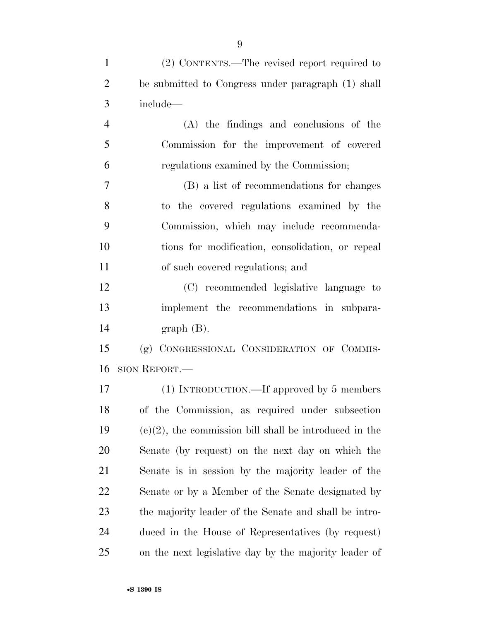| $\mathbf{1}$   | (2) CONTENTS.—The revised report required to              |
|----------------|-----------------------------------------------------------|
| $\overline{2}$ | be submitted to Congress under paragraph (1) shall        |
| 3              | include-                                                  |
| $\overline{4}$ | (A) the findings and conclusions of the                   |
| 5              | Commission for the improvement of covered                 |
| 6              | regulations examined by the Commission;                   |
| 7              | (B) a list of recommendations for changes                 |
| 8              | to the covered regulations examined by the                |
| 9              | Commission, which may include recommenda-                 |
| 10             | tions for modification, consolidation, or repeal          |
| 11             | of such covered regulations; and                          |
| 12             | (C) recommended legislative language to                   |
| 13             | implement the recommendations in subpara-                 |
| 14             | $graph(B)$ .                                              |
| 15             | (g) CONGRESSIONAL CONSIDERATION OF COMMIS-                |
| 16             | SION REPORT.                                              |
| 17             | (1) INTRODUCTION.—If approved by 5 members                |
| 18             | of the Commission, as required under subsection           |
| 19             | $(e)(2)$ , the commission bill shall be introduced in the |
| 20             | Senate (by request) on the next day on which the          |
| 21             | Senate is in session by the majority leader of the        |
| 22             | Senate or by a Member of the Senate designated by         |
| 23             | the majority leader of the Senate and shall be intro-     |
| 24             | duced in the House of Representatives (by request)        |
| 25             | on the next legislative day by the majority leader of     |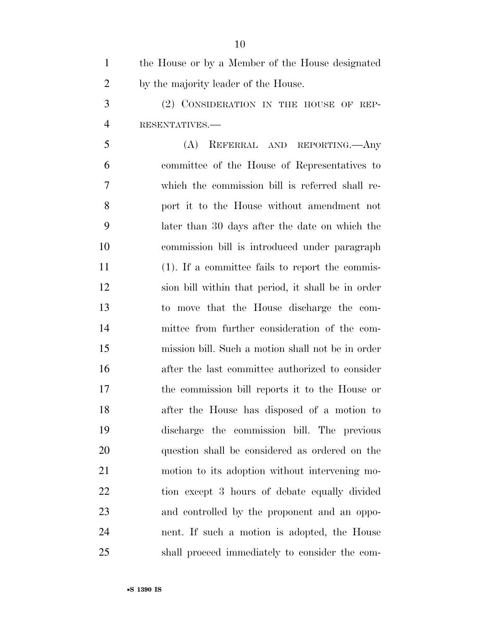| $\mathbf{1}$   | the House or by a Member of the House designated   |
|----------------|----------------------------------------------------|
| $\overline{2}$ | by the majority leader of the House.               |
| 3              | (2) CONSIDERATION IN THE HOUSE OF REP-             |
| $\overline{4}$ | RESENTATIVES.-                                     |
| 5              | (A)<br>REFERRAL AND REPORTING. Any                 |
| 6              | committee of the House of Representatives to       |
| 7              | which the commission bill is referred shall re-    |
| 8              | port it to the House without amendment not         |
| 9              | later than 30 days after the date on which the     |
| 10             | commission bill is introduced under paragraph      |
| 11             | $(1)$ . If a committee fails to report the commis- |
| 12             | sion bill within that period, it shall be in order |
| 13             | to move that the House discharge the com-          |
| 14             | mittee from further consideration of the com-      |
| 15             | mission bill. Such a motion shall not be in order  |
| 16             | after the last committee authorized to consider    |
| 17             | the commission bill reports it to the House or     |
| 18             | after the House has disposed of a motion to        |
| 19             | discharge the commission bill. The previous        |
| 20             | question shall be considered as ordered on the     |
| 21             | motion to its adoption without intervening mo-     |
| 22             | tion except 3 hours of debate equally divided      |
| 23             | and controlled by the proponent and an oppo-       |
| 24             | nent. If such a motion is adopted, the House       |
| 25             | shall proceed immediately to consider the com-     |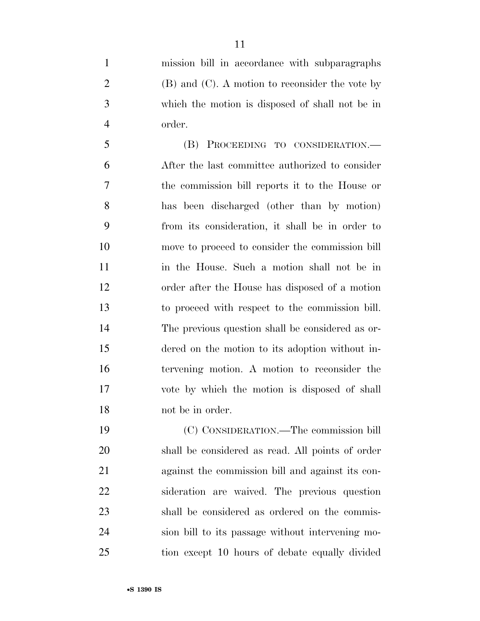mission bill in accordance with subparagraphs 2 (B) and  $(C)$ . A motion to reconsider the vote by which the motion is disposed of shall not be in order.

 (B) PROCEEDING TO CONSIDERATION.— After the last committee authorized to consider the commission bill reports it to the House or has been discharged (other than by motion) from its consideration, it shall be in order to move to proceed to consider the commission bill in the House. Such a motion shall not be in order after the House has disposed of a motion to proceed with respect to the commission bill. The previous question shall be considered as or- dered on the motion to its adoption without in- tervening motion. A motion to reconsider the vote by which the motion is disposed of shall not be in order.

 (C) CONSIDERATION.—The commission bill shall be considered as read. All points of order against the commission bill and against its con- sideration are waived. The previous question shall be considered as ordered on the commis- sion bill to its passage without intervening mo-tion except 10 hours of debate equally divided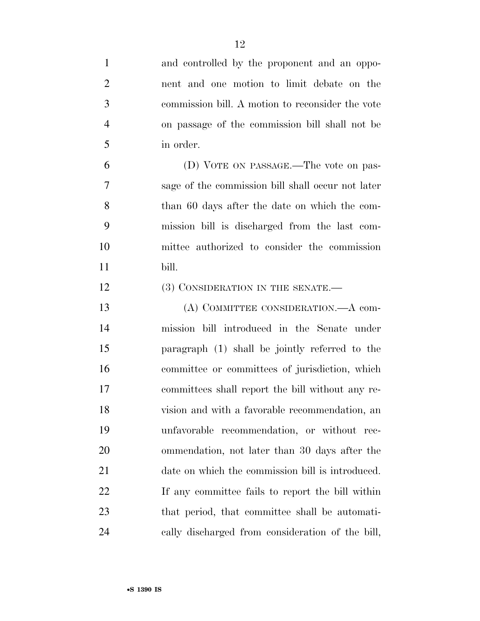| $\mathbf{1}$   | and controlled by the proponent and an oppo-      |
|----------------|---------------------------------------------------|
| $\overline{2}$ | nent and one motion to limit debate on the        |
| 3              | commission bill. A motion to reconsider the vote  |
| $\overline{4}$ | on passage of the commission bill shall not be    |
| 5              | in order.                                         |
| 6              | (D) VOTE ON PASSAGE.—The vote on pas-             |
| 7              | sage of the commission bill shall occur not later |
| 8              | than 60 days after the date on which the com-     |
| 9              | mission bill is discharged from the last com-     |
| 10             | mittee authorized to consider the commission      |
| 11             | bill.                                             |
| 12             | (3) CONSIDERATION IN THE SENATE.—                 |
| 13             | (A) COMMITTEE CONSIDERATION.—A com-               |
| 14             | mission bill introduced in the Senate under       |
| 15             | paragraph (1) shall be jointly referred to the    |
| 16             | committee or committees of jurisdiction, which    |
| 17             | committees shall report the bill without any re-  |
| 18             | vision and with a favorable recommendation, an    |
| 19             | unfavorable recommendation, or without rec-       |
| 20             | ommendation, not later than 30 days after the     |
| 21             | date on which the commission bill is introduced.  |
| 22             | If any committee fails to report the bill within  |
| 23             | that period, that committee shall be automati-    |
| 24             | cally discharged from consideration of the bill,  |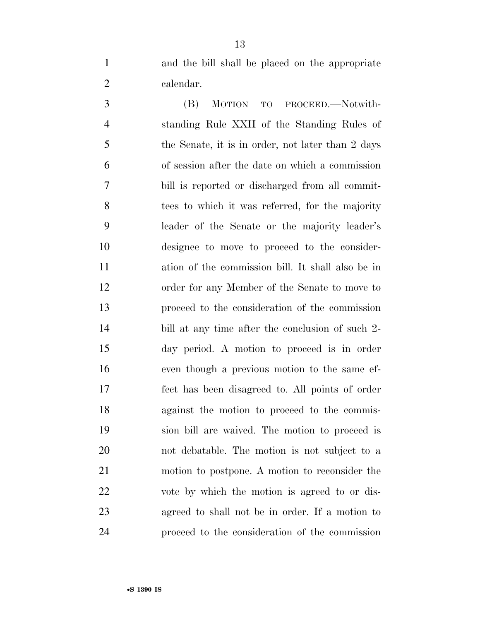and the bill shall be placed on the appropriate calendar.

 (B) MOTION TO PROCEED.—Notwith- standing Rule XXII of the Standing Rules of the Senate, it is in order, not later than 2 days of session after the date on which a commission bill is reported or discharged from all commit-8 tees to which it was referred, for the majority leader of the Senate or the majority leader's designee to move to proceed to the consider- ation of the commission bill. It shall also be in order for any Member of the Senate to move to proceed to the consideration of the commission bill at any time after the conclusion of such 2- day period. A motion to proceed is in order even though a previous motion to the same ef- fect has been disagreed to. All points of order against the motion to proceed to the commis- sion bill are waived. The motion to proceed is not debatable. The motion is not subject to a motion to postpone. A motion to reconsider the vote by which the motion is agreed to or dis- agreed to shall not be in order. If a motion to proceed to the consideration of the commission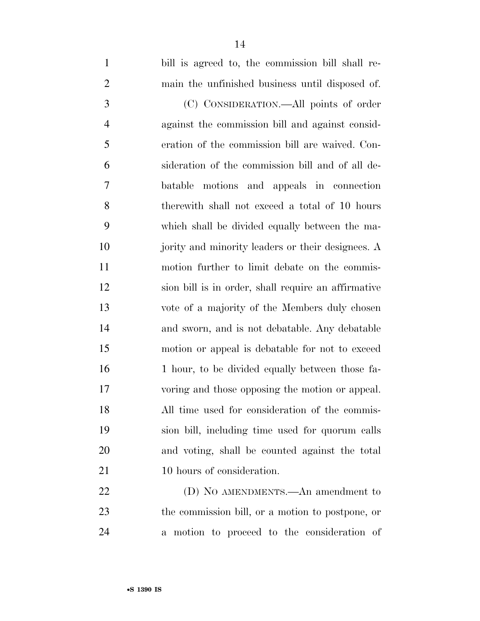| $\mathbf{1}$   | bill is agreed to, the commission bill shall re-    |
|----------------|-----------------------------------------------------|
| $\overline{2}$ | main the unfinished business until disposed of.     |
| 3              | (C) CONSIDERATION.—All points of order              |
| $\overline{4}$ | against the commission bill and against consid-     |
| 5              | eration of the commission bill are waived. Con-     |
| 6              | sideration of the commission bill and of all de-    |
| 7              | batable motions and appeals in connection           |
| 8              | therewith shall not exceed a total of 10 hours      |
| 9              | which shall be divided equally between the ma-      |
| 10             | jority and minority leaders or their designees. A   |
| 11             | motion further to limit debate on the commis-       |
| 12             | sion bill is in order, shall require an affirmative |
| 13             | vote of a majority of the Members duly chosen       |
| 14             | and sworn, and is not debatable. Any debatable      |
| 15             | motion or appeal is debatable for not to exceed     |
| 16             | 1 hour, to be divided equally between those fa-     |
| 17             | voring and those opposing the motion or appeal.     |
| 18             | All time used for consideration of the commis-      |
| 19             | sion bill, including time used for quorum calls     |
| 20             | and voting, shall be counted against the total      |
| 21             | 10 hours of consideration.                          |
| 22             | (D) NO AMENDMENTS.—An amendment to                  |

 the commission bill, or a motion to postpone, or a motion to proceed to the consideration of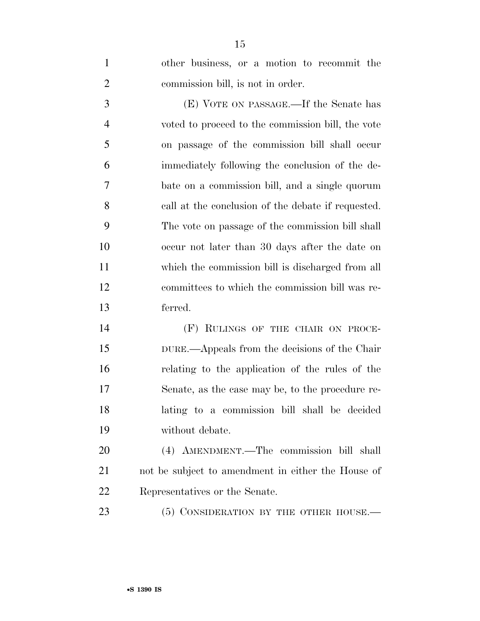| $\mathbf{1}$   | other business, or a motion to recommit the        |
|----------------|----------------------------------------------------|
| $\overline{2}$ | commission bill, is not in order.                  |
| 3              | (E) VOTE ON PASSAGE.—If the Senate has             |
| $\overline{4}$ | voted to proceed to the commission bill, the vote  |
| 5              | on passage of the commission bill shall occur      |
| 6              | immediately following the conclusion of the de-    |
| 7              | bate on a commission bill, and a single quorum     |
| 8              | call at the conclusion of the debate if requested. |
| 9              | The vote on passage of the commission bill shall   |
| 10             | occur not later than 30 days after the date on     |
| 11             | which the commission bill is discharged from all   |
| 12             | committees to which the commission bill was re-    |
| 13             | ferred.                                            |
| 14             | (F) RULINGS OF THE CHAIR ON PROCE-                 |
| 15             | DURE.—Appeals from the decisions of the Chair      |
|                |                                                    |

 relating to the application of the rules of the Senate, as the case may be, to the procedure re- lating to a commission bill shall be decided without debate.

 (4) AMENDMENT.—The commission bill shall not be subject to amendment in either the House of Representatives or the Senate.

23 (5) CONSIDERATION BY THE OTHER HOUSE.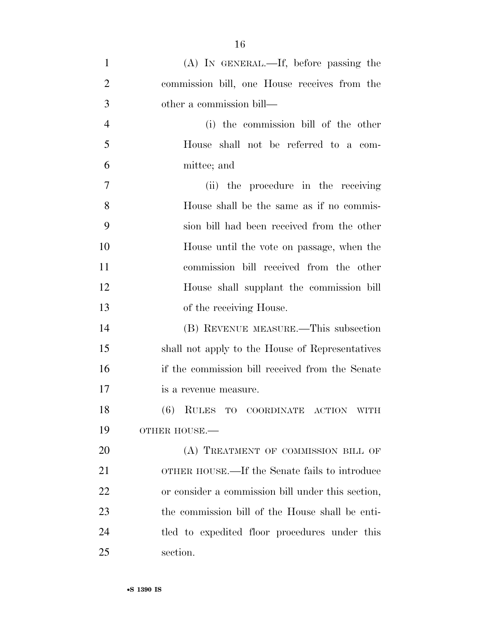| $\mathbf{1}$   | $(A)$ In GENERAL.—If, before passing the          |
|----------------|---------------------------------------------------|
| $\overline{2}$ | commission bill, one House receives from the      |
| 3              | other a commission bill—                          |
| $\overline{4}$ | (i) the commission bill of the other              |
| 5              | House shall not be referred to a com-             |
| 6              | mittee; and                                       |
| $\tau$         | (ii) the procedure in the receiving               |
| 8              | House shall be the same as if no commis-          |
| 9              | sion bill had been received from the other        |
| 10             | House until the vote on passage, when the         |
| 11             | commission bill received from the other           |
| 12             | House shall supplant the commission bill          |
| 13             | of the receiving House.                           |
| 14             | (B) REVENUE MEASURE.—This subsection              |
| 15             | shall not apply to the House of Representatives   |
| 16             | if the commission bill received from the Senate   |
| 17             | is a revenue measure.                             |
| 18             | (6) RULES TO COORDINATE ACTION WITH               |
| 19             | OTHER HOUSE.-                                     |
| 20             | (A) TREATMENT OF COMMISSION BILL OF               |
| 21             | OTHER HOUSE.—If the Senate fails to introduce     |
| 22             | or consider a commission bill under this section, |
| 23             | the commission bill of the House shall be enti-   |
| 24             | tled to expedited floor procedures under this     |
| 25             | section.                                          |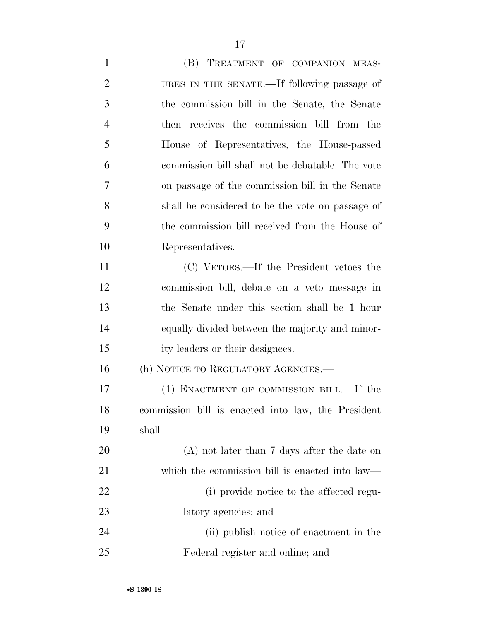| $\mathbf{1}$   | (B) TREATMENT OF COMPANION MEAS-                   |
|----------------|----------------------------------------------------|
| $\overline{2}$ | URES IN THE SENATE.—If following passage of        |
| 3              | the commission bill in the Senate, the Senate      |
| $\overline{4}$ | then receives the commission bill from the         |
| 5              | House of Representatives, the House-passed         |
| 6              | commission bill shall not be debatable. The vote   |
| 7              | on passage of the commission bill in the Senate    |
| 8              | shall be considered to be the vote on passage of   |
| 9              | the commission bill received from the House of     |
| 10             | Representatives.                                   |
| 11             | (C) VETOES.—If the President vetoes the            |
| 12             | commission bill, debate on a veto message in       |
| 13             | the Senate under this section shall be 1 hour      |
| 14             | equally divided between the majority and minor-    |
| 15             | ity leaders or their designees.                    |
| 16             | (h) NOTICE TO REGULATORY AGENCIES.—                |
| 17             | (1) ENACTMENT OF COMMISSION BILL.—If the           |
| 18             | commission bill is enacted into law, the President |
| 19             | shall—                                             |
| 20             | $(A)$ not later than 7 days after the date on      |
| 21             | which the commission bill is enacted into law—     |
| 22             | (i) provide notice to the affected regu-           |
| 23             | latory agencies; and                               |
| 24             | (ii) publish notice of enactment in the            |
| 25             | Federal register and online; and                   |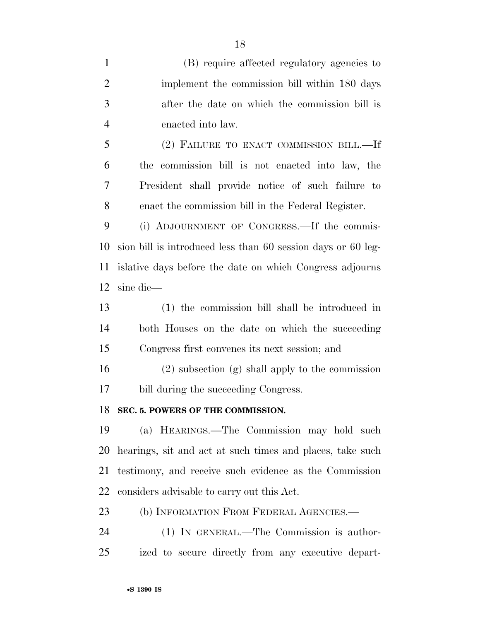(B) require affected regulatory agencies to implement the commission bill within 180 days after the date on which the commission bill is enacted into law. (2) FAILURE TO ENACT COMMISSION BILL.—If the commission bill is not enacted into law, the President shall provide notice of such failure to enact the commission bill in the Federal Register. (i) ADJOURNMENT OF CONGRESS.—If the commis- sion bill is introduced less than 60 session days or 60 leg- islative days before the date on which Congress adjourns sine die— (1) the commission bill shall be introduced in both Houses on the date on which the succeeding Congress first convenes its next session; and (2) subsection (g) shall apply to the commission bill during the succeeding Congress. **SEC. 5. POWERS OF THE COMMISSION.**  (a) HEARINGS.—The Commission may hold such hearings, sit and act at such times and places, take such testimony, and receive such evidence as the Commission considers advisable to carry out this Act. 23 (b) INFORMATION FROM FEDERAL AGENCIES.— (1) IN GENERAL.—The Commission is author-

•**S 1390 IS**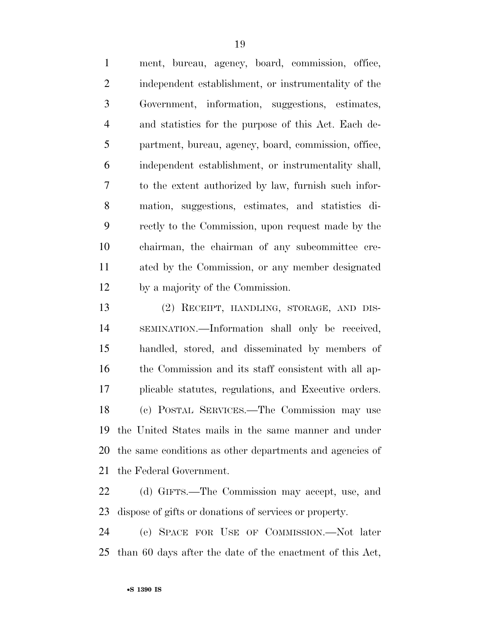ment, bureau, agency, board, commission, office, independent establishment, or instrumentality of the Government, information, suggestions, estimates, and statistics for the purpose of this Act. Each de- partment, bureau, agency, board, commission, office, independent establishment, or instrumentality shall, to the extent authorized by law, furnish such infor- mation, suggestions, estimates, and statistics di- rectly to the Commission, upon request made by the chairman, the chairman of any subcommittee cre- ated by the Commission, or any member designated by a majority of the Commission.

 (2) RECEIPT, HANDLING, STORAGE, AND DIS- SEMINATION.—Information shall only be received, handled, stored, and disseminated by members of the Commission and its staff consistent with all ap- plicable statutes, regulations, and Executive orders. (c) POSTAL SERVICES.—The Commission may use the United States mails in the same manner and under the same conditions as other departments and agencies of the Federal Government.

 (d) GIFTS.—The Commission may accept, use, and dispose of gifts or donations of services or property.

 (e) SPACE FOR USE OF COMMISSION.—Not later than 60 days after the date of the enactment of this Act,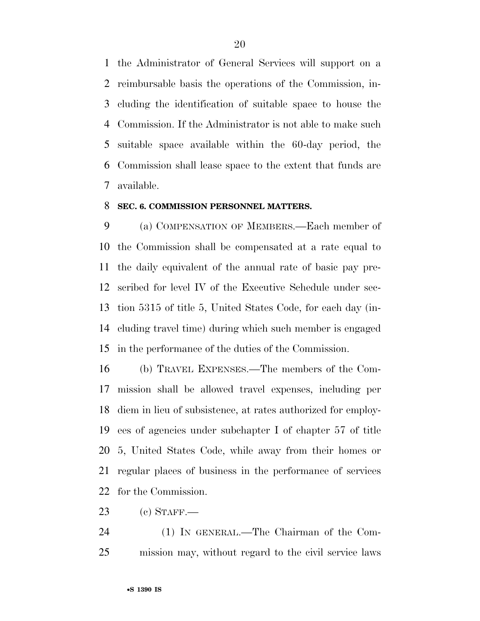the Administrator of General Services will support on a reimbursable basis the operations of the Commission, in- cluding the identification of suitable space to house the Commission. If the Administrator is not able to make such suitable space available within the 60-day period, the Commission shall lease space to the extent that funds are available.

#### **SEC. 6. COMMISSION PERSONNEL MATTERS.**

 (a) COMPENSATION OF MEMBERS.—Each member of the Commission shall be compensated at a rate equal to the daily equivalent of the annual rate of basic pay pre- scribed for level IV of the Executive Schedule under sec- tion 5315 of title 5, United States Code, for each day (in- cluding travel time) during which such member is engaged in the performance of the duties of the Commission.

 (b) TRAVEL EXPENSES.—The members of the Com- mission shall be allowed travel expenses, including per diem in lieu of subsistence, at rates authorized for employ- ees of agencies under subchapter I of chapter 57 of title 5, United States Code, while away from their homes or regular places of business in the performance of services for the Commission.

(c) STAFF.—

 (1) IN GENERAL.—The Chairman of the Com-mission may, without regard to the civil service laws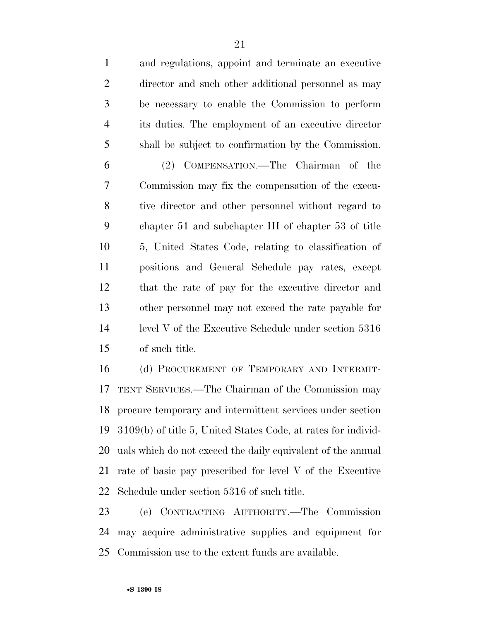and regulations, appoint and terminate an executive director and such other additional personnel as may be necessary to enable the Commission to perform its duties. The employment of an executive director shall be subject to confirmation by the Commission. (2) COMPENSATION.—The Chairman of the Commission may fix the compensation of the execu- tive director and other personnel without regard to chapter 51 and subchapter III of chapter 53 of title 5, United States Code, relating to classification of positions and General Schedule pay rates, except that the rate of pay for the executive director and other personnel may not exceed the rate payable for level V of the Executive Schedule under section 5316 of such title.

16 (d) PROCUREMENT OF TEMPORARY AND INTERMIT- TENT SERVICES.—The Chairman of the Commission may procure temporary and intermittent services under section 3109(b) of title 5, United States Code, at rates for individ- uals which do not exceed the daily equivalent of the annual rate of basic pay prescribed for level V of the Executive Schedule under section 5316 of such title.

 (e) CONTRACTING AUTHORITY.—The Commission may acquire administrative supplies and equipment for Commission use to the extent funds are available.